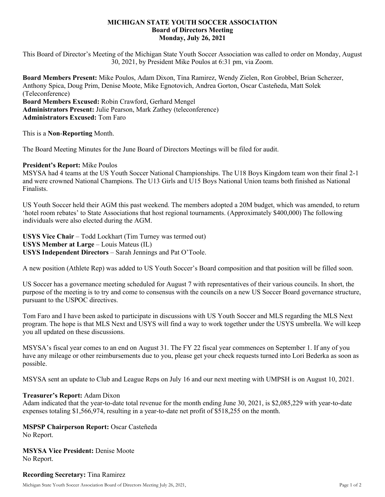## **MICHIGAN STATE YOUTH SOCCER ASSOCIATION Board of Directors Meeting Monday, July 26, 2021**

This Board of Director's Meeting of the Michigan State Youth Soccer Association was called to order on Monday, August 30, 2021, by President Mike Poulos at 6:31 pm, via Zoom.

**Board Members Present:** Mike Poulos, Adam Dixon, Tina Ramirez, Wendy Zielen, Ron Grobbel, Brian Scherzer, Anthony Spica, Doug Prim, Denise Moote, Mike Egnotovich, Andrea Gorton, Oscar Casteñeda, Matt Solek (Teleconference) **Board Members Excused:** Robin Crawford, Gerhard Mengel **Administrators Present:** Julie Pearson, Mark Zathey (teleconference) **Administrators Excused:** Tom Faro

This is a **Non**-**Reporting** Month.

The Board Meeting Minutes for the June Board of Directors Meetings will be filed for audit.

#### **President's Report:** Mike Poulos

MSYSA had 4 teams at the US Youth Soccer National Championships. The U18 Boys Kingdom team won their final 2-1 and were crowned National Champions. The U13 Girls and U15 Boys National Union teams both finished as National Finalists.

US Youth Soccer held their AGM this past weekend. The members adopted a 20M budget, which was amended, to return 'hotel room rebates' to State Associations that host regional tournaments. (Approximately \$400,000) The following individuals were also elected during the AGM.

**USYS Vice Chair** – Todd Lockhart (Tim Turney was termed out) **USYS Member at Large** – Louis Mateus (IL) **USYS Independent Directors** – Sarah Jennings and Pat O'Toole.

A new position (Athlete Rep) was added to US Youth Soccer's Board composition and that position will be filled soon.

US Soccer has a governance meeting scheduled for August 7 with representatives of their various councils. In short, the purpose of the meeting is to try and come to consensus with the councils on a new US Soccer Board governance structure, pursuant to the USPOC directives.

Tom Faro and I have been asked to participate in discussions with US Youth Soccer and MLS regarding the MLS Next program. The hope is that MLS Next and USYS will find a way to work together under the USYS umbrella. We will keep you all updated on these discussions.

MSYSA's fiscal year comes to an end on August 31. The FY 22 fiscal year commences on September 1. If any of you have any mileage or other reimbursements due to you, please get your check requests turned into Lori Bederka as soon as possible.

MSYSA sent an update to Club and League Reps on July 16 and our next meeting with UMPSH is on August 10, 2021.

#### **Treasurer's Report:** Adam Dixon

Adam indicated that the year-to-date total revenue for the month ending June 30, 2021, is \$2,085,229 with year-to-date expenses totaling \$1,566,974, resulting in a year-to-date net profit of \$518,255 on the month.

## **MSPSP Chairperson Report:** Oscar Casteñeda

No Report.

**MSYSA Vice President:** Denise Moote No Report.

## **Recording Secretary:** Tina Ramirez

Michigan State Youth Soccer Association Board of Directors Meeting July 26, 2021, Page 1 of 2